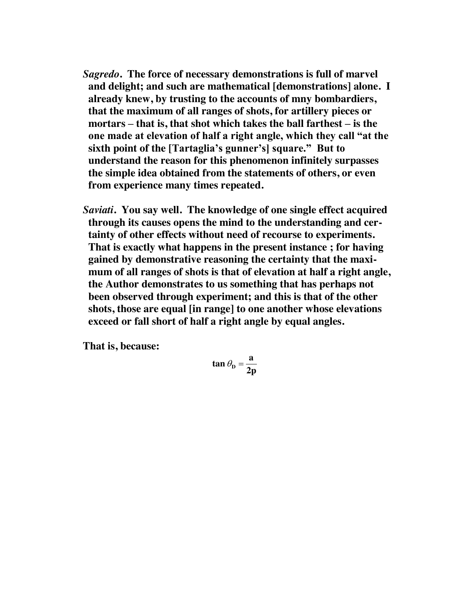- *Sagredo***. The force of necessary demonstrations is full of marvel and delight; and such are mathematical [demonstrations] alone. I already knew, by trusting to the accounts of mny bombardiers, that the maximum of all ranges of shots, for artillery pieces or mortars – that is, that shot which takes the ball farthest – is the one made at elevation of half a right angle, which they call "at the sixth point of the [Tartaglia's gunner's] square." But to understand the reason for this phenomenon infinitely surpasses the simple idea obtained from the statements of others, or even from experience many times repeated.**
- *Saviati***. You say well. The knowledge of one single effect acquired through its causes opens the mind to the understanding and certainty of other effects without need of recourse to experiments. That is exactly what happens in the present instance ; for having gained by demonstrative reasoning the certainty that the maximum of all ranges of shots is that of elevation at half a right angle, the Author demonstrates to us something that has perhaps not been observed through experiment; and this is that of the other shots, those are equal [in range] to one another whose elevations exceed or fall short of half a right angle by equal angles.**

**That is, because:** 

$$
tan \theta_{\rm D} = \frac{a}{2p}
$$